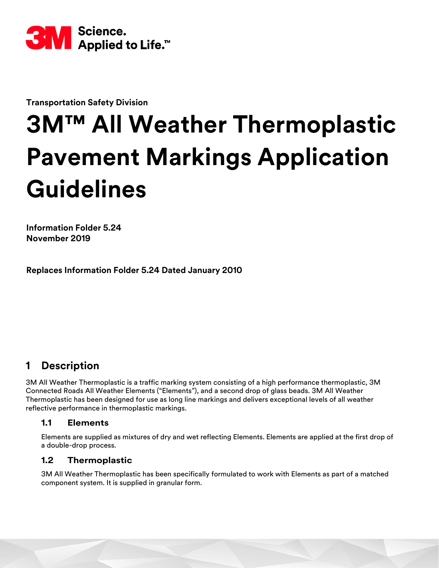

**Transportation Safety Division**

# **3M™ All Weather Thermoplastic Pavement Markings Application Guidelines**

**Information Folder 5.24 November 2019**

**Replaces Information Folder 5.24 Dated January 2010**

# **1 Description**

3M All Weather Thermoplastic is a traffic marking system consisting of a high performance thermoplastic, 3M Connected Roads All Weather Elements ("Elements"), and a second drop of glass beads. 3M All Weather Thermoplastic has been designed for use as long line markings and delivers exceptional levels of all weather reflective performance in thermoplastic markings.

#### **1.1 Elements**

Elements are supplied as mixtures of dry and wet reflecting Elements. Elements are applied at the first drop of a double-drop process.

#### **1.2 Thermoplastic**

3M All Weather Thermoplastic has been specifically formulated to work with Elements as part of a matched component system. It is supplied in granular form.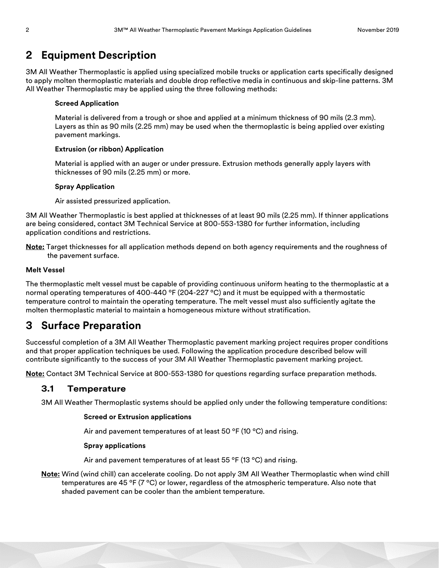# **2 Equipment Description**

3M All Weather Thermoplastic is applied using specialized mobile trucks or application carts specifically designed to apply molten thermoplastic materials and double drop reflective media in continuous and skip-line patterns. 3M All Weather Thermoplastic may be applied using the three following methods:

#### **Screed Application**

Material is delivered from a trough or shoe and applied at a minimum thickness of 90 mils (2.3 mm). Layers as thin as 90 mils (2.25 mm) may be used when the thermoplastic is being applied over existing pavement markings.

#### **Extrusion (or ribbon) Application**

Material is applied with an auger or under pressure. Extrusion methods generally apply layers with thicknesses of 90 mils (2.25 mm) or more.

#### **Spray Application**

Air assisted pressurized application.

3M All Weather Thermoplastic is best applied at thicknesses of at least 90 mils (2.25 mm). If thinner applications are being considered, contact 3M Technical Service at 800-553-1380 for further information, including application conditions and restrictions.

**Note:** Target thicknesses for all application methods depend on both agency requirements and the roughness of the pavement surface.

#### **Melt Vessel**

The thermoplastic melt vessel must be capable of providing continuous uniform heating to the thermoplastic at a normal operating temperatures of 400-440  $\degree$ F (204-227  $\degree$ C) and it must be equipped with a thermostatic temperature control to maintain the operating temperature. The melt vessel must also sufficiently agitate the molten thermoplastic material to maintain a homogeneous mixture without stratification.

# **3 Surface Preparation**

Successful completion of a 3M All Weather Thermoplastic pavement marking project requires proper conditions and that proper application techniques be used. Following the application procedure described below will contribute significantly to the success of your 3M All Weather Thermoplastic pavement marking project.

**Note:** Contact 3M Technical Service at 800-553-1380 for questions regarding surface preparation methods.

#### **3.1 Temperature**

3M All Weather Thermoplastic systems should be applied only under the following temperature conditions:

#### **Screed or Extrusion applications**

Air and pavement temperatures of at least 50  $\degree$ F (10  $\degree$ C) and rising.

#### **Spray applications**

Air and pavement temperatures of at least 55 °F (13 °C) and rising.

**Note:** Wind (wind chill) can accelerate cooling. Do not apply 3M All Weather Thermoplastic when wind chill temperatures are 45 ºF (7 ºC) or lower, regardless of the atmospheric temperature. Also note that shaded pavement can be cooler than the ambient temperature.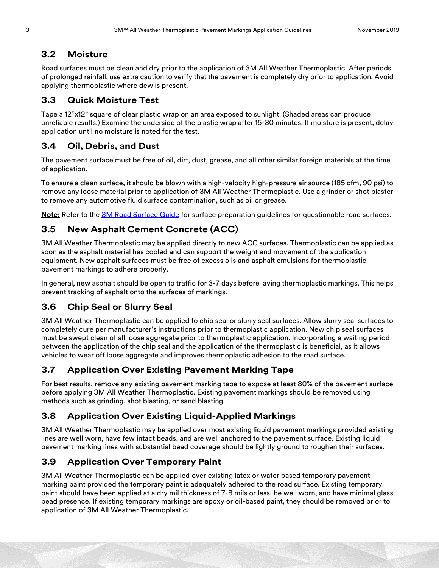#### **3.2 Moisture**

Road surfaces must be clean and dry prior to the application of 3M All Weather Thermoplastic. After periods of prolonged rainfall, use extra caution to verify that the pavement is completely dry prior to application. Avoid applying thermoplastic where dew is present.

#### **3.3 Quick Moisture Test**

Tape a 12"x12" square of clear plastic wrap on an area exposed to sunlight. (Shaded areas can produce unreliable results.) Examine the underside of the plastic wrap after 15-30 minutes. If moisture is present, delay application until no moisture is noted for the test.

#### **3.4 Oil, Debris, and Dust**

The pavement surface must be free of oil, dirt, dust, grease, and all other similar foreign materials at the time of application.

To ensure a clean surface, it should be blown with a high-velocity high-pressure air source (185 cfm, 90 psi) to remove any loose material prior to application of 3M All Weather Thermoplastic. Use a grinder or shot blaster to remove any automotive fluid surface contamination, such as oil or grease.

**Note:** Refer to the [3M Road Surface Guide](http://multimedia.3m.com/mws/media/99528O/stamarktm-road-surface-guide.pdf) for surface preparation guidelines for questionable road surfaces.

#### **3.5 New Asphalt Cement Concrete (ACC)**

3M All Weather Thermoplastic may be applied directly to new ACC surfaces. Thermoplastic can be applied as soon as the asphalt material has cooled and can support the weight and movement of the application equipment. New asphalt surfaces must be free of excess oils and asphalt emulsions for thermoplastic pavement markings to adhere properly.

In general, new asphalt should be open to traffic for 3-7 days before laying thermoplastic markings. This helps prevent tracking of asphalt onto the surfaces of markings.

#### **3.6 Chip Seal or Slurry Seal**

3M All Weather Thermoplastic can be applied to chip seal or slurry seal surfaces. Allow slurry seal surfaces to completely cure per manufacturer's instructions prior to thermoplastic application. New chip seal surfaces must be swept clean of all loose aggregate prior to thermoplastic application. Incorporating a waiting period between the application of the chip seal and the application of the thermoplastic is beneficial, as it allows vehicles to wear off loose aggregate and improves thermoplastic adhesion to the road surface.

#### **3.7 Application Over Existing Pavement Marking Tape**

For best results, remove any existing pavement marking tape to expose at least 80% of the pavement surface before applying 3M All Weather Thermoplastic. Existing pavement markings should be removed using methods such as grinding, shot blasting, or sand blasting.

#### **3.8 Application Over Existing Liquid-Applied Markings**

3M All Weather Thermoplastic may be applied over most existing liquid pavement markings provided existing lines are well worn, have few intact beads, and are well anchored to the pavement surface. Existing liquid pavement marking lines with substantial bead coverage should be lightly ground to roughen their surfaces.

#### **3.9 Application Over Temporary Paint**

3M All Weather Thermoplastic can be applied over existing latex or water based temporary pavement marking paint provided the temporary paint is adequately adhered to the road surface. Existing temporary paint should have been applied at a dry mil thickness of 7-8 mils or less, be well worn, and have minimal glass bead presence. If existing temporary markings are epoxy or oil-based paint, they should be removed prior to application of 3M All Weather Thermoplastic.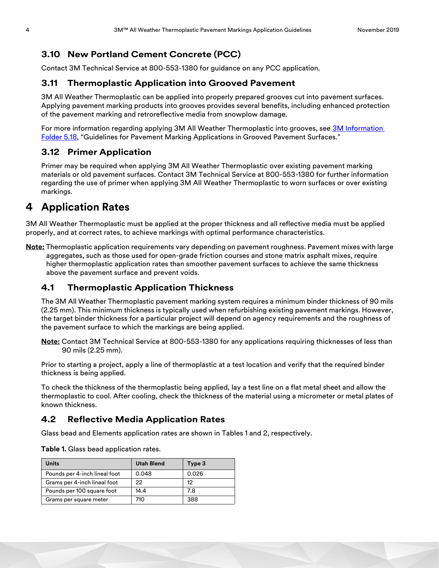#### **3.10 New Portland Cement Concrete (PCC)**

Contact 3M Technical Service at 800-553-1380 for guidance on any PCC application.

#### **3.11 Thermoplastic Application into Grooved Pavement**

3M All Weather Thermoplastic can be applied into properly prepared grooves cut into pavement surfaces. Applying pavement marking products into grooves provides several benefits, including enhanced protection of the pavement marking and retroreflective media from snowplow damage.

For more information regarding applying 3M All Weather Thermoplastic into grooves, see 3M Information [Folder 5.18](http://multimedia.3m.com/mws/media/156542O/if-5-18-grooving-guidelines-for-stamark-tapes-and-liquid.pdf), "Guidelines for Pavement Marking Applications in Grooved Pavement Surfaces."

#### **3.12 Primer Application**

Primer may be required when applying 3M All Weather Thermoplastic over existing pavement marking materials or old pavement surfaces. Contact 3M Technical Service at 800-553-1380 for further information regarding the use of primer when applying 3M All Weather Thermoplastic to worn surfaces or over existing markings.

# **4 Application Rates**

3M All Weather Thermoplastic must be applied at the proper thickness and all reflective media must be applied properly, and at correct rates, to achieve markings with optimal performance characteristics.

**Note:** Thermoplastic application requirements vary depending on pavement roughness. Pavement mixes with large aggregates, such as those used for open-grade friction courses and stone matrix asphalt mixes, require higher thermoplastic application rates than smoother pavement surfaces to achieve the same thickness above the pavement surface and prevent voids.

#### <span id="page-3-0"></span>**4.1 Thermoplastic Application Thickness**

The 3M All Weather Thermoplastic pavement marking system requires a minimum binder thickness of 90 mils (2.25 mm). This minimum thickness is typically used when refurbishing existing pavement markings. However, the target binder thickness for a particular project will depend on agency requirements and the roughness of the pavement surface to which the markings are being applied.

**Note:** Contact 3M Technical Service at 800-553-1380 for any applications requiring thicknesses of less than 90 mils (2.25 mm).

Prior to starting a project, apply a line of thermoplastic at a test location and verify that the required binder thickness is being applied.

To check the thickness of the thermoplastic being applied, lay a test line on a flat metal sheet and allow the thermoplastic to cool. After cooling, check the thickness of the material using a micrometer or metal plates of known thickness.

#### <span id="page-3-1"></span>**4.2 Reflective Media Application Rates**

Glass bead and Elements application rates are shown in Tables 1 and [2](#page-4-0), respectively.

**Table 1.** Glass bead application rates.

| <b>Units</b>                  | <b>Utah Blend</b> | Type 3 |
|-------------------------------|-------------------|--------|
| Pounds per 4-inch lineal foot | 0.048             | 0.026  |
| Grams per 4-inch lineal foot  | 22                | 12     |
| Pounds per 100 square foot    | 14.4              | 7.8    |
| Grams per square meter        | 710               | 388    |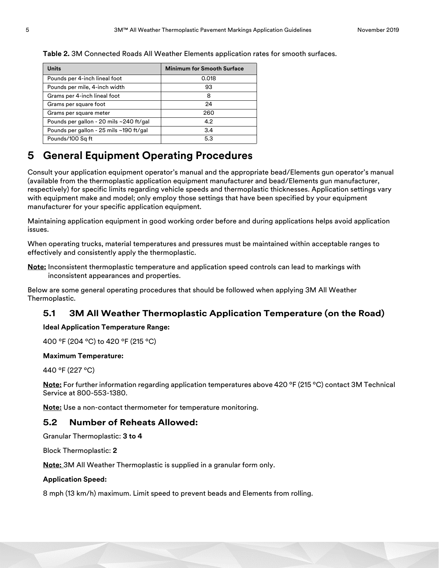<span id="page-4-0"></span>**Table 2.** 3M Connected Roads All Weather Elements application rates for smooth surfaces.

| <b>Units</b>                            | <b>Minimum for Smooth Surface</b> |
|-----------------------------------------|-----------------------------------|
| Pounds per 4-inch lineal foot           | 0.018                             |
| Pounds per mile, 4-inch width           | 93                                |
| Grams per 4-inch lineal foot            | 8                                 |
| Grams per square foot                   | 24                                |
| Grams per square meter                  | 260                               |
| Pounds per gallon - 20 mils ~240 ft/gal | 4.2                               |
| Pounds per gallon - 25 mils ~190 ft/gal | 3.4                               |
| Pounds/100 Sq ft                        | 5.3                               |

### **5 General Equipment Operating Procedures**

Consult your application equipment operator's manual and the appropriate bead/Elements gun operator's manual (available from the thermoplastic application equipment manufacturer and bead/Elements gun manufacturer, respectively) for specific limits regarding vehicle speeds and thermoplastic thicknesses. Application settings vary with equipment make and model; only employ those settings that have been specified by your equipment manufacturer for your specific application equipment.

Maintaining application equipment in good working order before and during applications helps avoid application issues.

When operating trucks, material temperatures and pressures must be maintained within acceptable ranges to effectively and consistently apply the thermoplastic.

**Note:** Inconsistent thermoplastic temperature and application speed controls can lead to markings with inconsistent appearances and properties.

Below are some general operating procedures that should be followed when applying 3M All Weather Thermoplastic.

#### **5.1 3M All Weather Thermoplastic Application Temperature (on the Road)**

#### **Ideal Application Temperature Range:**

400 ºF (204 ºC) to 420 ºF (215 ºC)

#### **Maximum Temperature:**

440 ºF (227 ºC)

**Note:** For further information regarding application temperatures above 420 ºF (215 ºC) contact 3M Technical Service at 800-553-1380.

**Note:** Use a non-contact thermometer for temperature monitoring.

#### **5.2 Number of Reheats Allowed:**

Granular Thermoplastic: **3 to 4**

Block Thermoplastic: **2**

**Note:** 3M All Weather Thermoplastic is supplied in a granular form only.

#### **Application Speed:**

8 mph (13 km/h) maximum. Limit speed to prevent beads and Elements from rolling.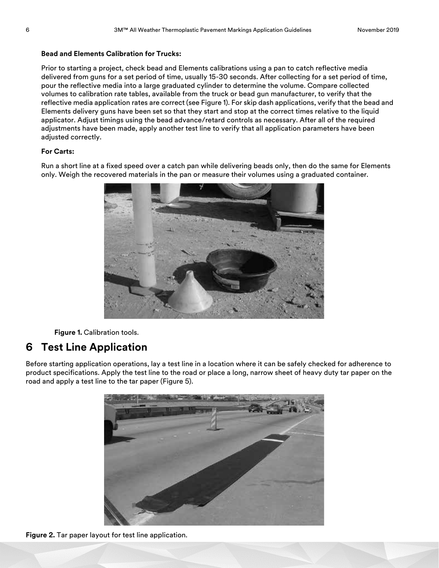#### **Bead and Elements Calibration for Trucks:**

Prior to starting a project, check bead and Elements calibrations using a pan to catch reflective media delivered from guns for a set period of time, usually 15-30 seconds. After collecting for a set period of time, pour the reflective media into a large graduated cylinder to determine the volume. Compare collected volumes to calibration rate tables, available from the truck or bead gun manufacturer, to verify that the reflective media application rates are correct (see Figure 1). For skip dash applications, verify that the bead and Elements delivery guns have been set so that they start and stop at the correct times relative to the liquid applicator. Adjust timings using the bead advance/retard controls as necessary. After all of the required adjustments have been made, apply another test line to verify that all application parameters have been adjusted correctly.

#### **For Carts:**

Run a short line at a fixed speed over a catch pan while delivering beads only, then do the same for Elements only. Weigh the recovered materials in the pan or measure their volumes using a graduated container.



**Figure 1.** Calibration tools.

### **6 Test Line Application**

Before starting application operations, lay a test line in a location where it can be safely checked for adherence to product specifications. Apply the test line to the road or place a long, narrow sheet of heavy duty tar paper on the road and apply a test line to the tar paper (Figure 5).



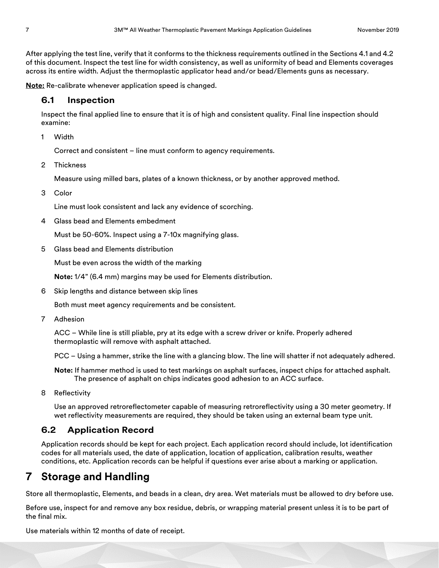After applying the test line, verify that it conforms to the thickness requirements outlined in the Sections [4.1](#page-3-0) and [4.2](#page-3-1)  of this document. Inspect the test line for width consistency, as well as uniformity of bead and Elements coverages across its entire width. Adjust the thermoplastic applicator head and/or bead/Elements guns as necessary.

**Note:** Re-calibrate whenever application speed is changed.

#### **6.1 Inspection**

Inspect the final applied line to ensure that it is of high and consistent quality. Final line inspection should examine:

1 Width

Correct and consistent – line must conform to agency requirements.

2 Thickness

Measure using milled bars, plates of a known thickness, or by another approved method.

3 Color

Line must look consistent and lack any evidence of scorching.

4 Glass bead and Elements embedment

Must be 50-60%. Inspect using a 7-10x magnifying glass.

5 Glass bead and Elements distribution

Must be even across the width of the marking

**Note:** 1/4" (6.4 mm) margins may be used for Elements distribution.

6 Skip lengths and distance between skip lines

Both must meet agency requirements and be consistent.

7 Adhesion

ACC – While line is still pliable, pry at its edge with a screw driver or knife. Properly adhered thermoplastic will remove with asphalt attached.

PCC – Using a hammer, strike the line with a glancing blow. The line will shatter if not adequately adhered.

**Note:** If hammer method is used to test markings on asphalt surfaces, inspect chips for attached asphalt. The presence of asphalt on chips indicates good adhesion to an ACC surface.

8 Reflectivity

Use an approved retroreflectometer capable of measuring retroreflectivity using a 30 meter geometry. If wet reflectivity measurements are required, they should be taken using an external beam type unit.

#### **6.2 Application Record**

Application records should be kept for each project. Each application record should include, lot identification codes for all materials used, the date of application, location of application, calibration results, weather conditions, etc. Application records can be helpful if questions ever arise about a marking or application.

# **7 Storage and Handling**

Store all thermoplastic, Elements, and beads in a clean, dry area. Wet materials must be allowed to dry before use.

Before use, inspect for and remove any box residue, debris, or wrapping material present unless it is to be part of the final mix.

Use materials within 12 months of date of receipt.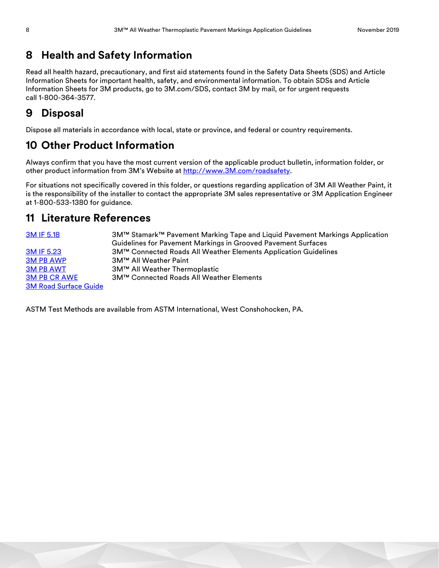# **8 Health and Safety Information**

Read all health hazard, precautionary, and first aid statements found in the Safety Data Sheets (SDS) and Article Information Sheets for important health, safety, and environmental information. To obtain SDSs and Article Information Sheets for 3M products, go to 3M.com/SDS, contact 3M by mail, or for urgent requests call 1-800-364-3577.

# **9 Disposal**

Dispose all materials in accordance with local, state or province, and federal or country requirements.

# **10 Other Product Information**

Always confirm that you have the most current version of the applicable product bulletin, information folder, or other product information from 3M's Website at [http://www.3M.com/roadsafety.](http://www.mmm.com/tss)

For situations not specifically covered in this folder, or questions regarding application of 3M All Weather Paint, it is the responsibility of the installer to contact the appropriate 3M sales representative or 3M Application Engineer at 1-800-533-1380 for guidance.

# **11 Literature References**

| 3M IF 5.18                   | 3M™ Stamark™ Pavement Marking Tape and Liquid Pavement Markings Application |
|------------------------------|-----------------------------------------------------------------------------|
|                              | Guidelines for Pavement Markings in Grooved Pavement Surfaces               |
| 3M IF 5.23                   | 3M™ Connected Roads All Weather Elements Application Guidelines             |
| <b>3M PB AWP</b>             | 3M™ All Weather Paint                                                       |
| <b>3M PB AWT</b>             | 3M™ All Weather Thermoplastic                                               |
| <b>3M PB CR AWE</b>          | <b>3M™ Connected Roads All Weather Elements</b>                             |
| <b>3M Road Surface Guide</b> |                                                                             |

ASTM Test Methods are available from ASTM International, West Conshohocken, PA.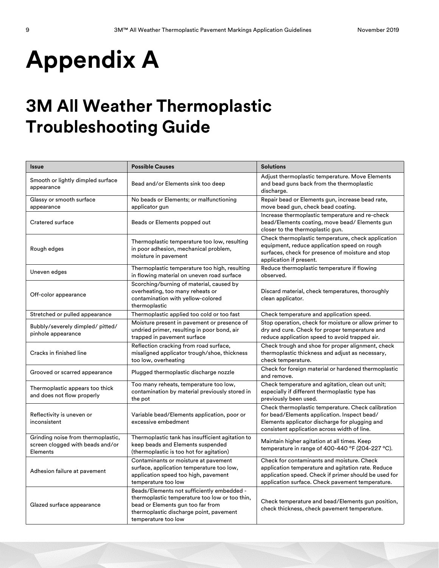# **Appendix A**

# **3M All Weather Thermoplastic Troubleshooting Guide**

| <b>Issue</b>                                                                       | <b>Possible Causes</b>                                                                                                                                                                              | <b>Solutions</b>                                                                                                                                                                                              |
|------------------------------------------------------------------------------------|-----------------------------------------------------------------------------------------------------------------------------------------------------------------------------------------------------|---------------------------------------------------------------------------------------------------------------------------------------------------------------------------------------------------------------|
| Smooth or lightly dimpled surface<br>appearance                                    | Bead and/or Elements sink too deep                                                                                                                                                                  | Adjust thermoplastic temperature. Move Elements<br>and bead guns back from the thermoplastic<br>discharge.                                                                                                    |
| Glassy or smooth surface<br>appearance                                             | No beads or Elements; or malfunctioning<br>applicator gun                                                                                                                                           | Repair bead or Elements gun, increase bead rate,<br>move bead gun, check bead coating.                                                                                                                        |
| Cratered surface                                                                   | Beads or Elements popped out                                                                                                                                                                        | Increase thermoplastic temperature and re-check<br>bead/Elements coating, move bead/ Elements gun<br>closer to the thermoplastic gun.                                                                         |
| Rough edges                                                                        | Thermoplastic temperature too low, resulting<br>in poor adhesion, mechanical problem,<br>moisture in pavement                                                                                       | Check thermoplastic temperature, check application<br>equipment, reduce application speed on rough<br>surfaces, check for presence of moisture and stop<br>application if present.                            |
| Uneven edges                                                                       | Thermoplastic temperature too high, resulting<br>in flowing material on uneven road surface                                                                                                         | Reduce thermoplastic temperature if flowing<br>observed.                                                                                                                                                      |
| Off-color appearance                                                               | Scorching/burning of material, caused by<br>overheating, too many reheats or<br>contamination with yellow-colored<br>thermoplastic                                                                  | Discard material, check temperatures, thoroughly<br>clean applicator.                                                                                                                                         |
| Stretched or pulled appearance                                                     | Thermoplastic applied too cold or too fast                                                                                                                                                          | Check temperature and application speed.                                                                                                                                                                      |
| Bubbly/severely dimpled/ pitted/<br>pinhole appearance                             | Moisture present in pavement or presence of<br>undried primer, resulting in poor bond, air<br>trapped in pavement surface                                                                           | Stop operation, check for moisture or allow primer to<br>dry and cure. Check for proper temperature and<br>reduce application speed to avoid trapped air.                                                     |
| Cracks in finished line                                                            | Reflection cracking from road surface,<br>misaligned applicator trough/shoe, thickness<br>too low, overheating                                                                                      | Check trough and shoe for proper alignment, check<br>thermoplastic thickness and adjust as necessary,<br>check temperature.                                                                                   |
| Grooved or scarred appearance                                                      | Plugged thermoplastic discharge nozzle                                                                                                                                                              | Check for foreign material or hardened thermoplastic<br>and remove.                                                                                                                                           |
| Thermoplastic appears too thick<br>and does not flow properly                      | Too many reheats, temperature too low,<br>contamination by material previously stored in<br>the pot                                                                                                 | Check temperature and agitation, clean out unit;<br>especially if different thermoplastic type has<br>previously been used.                                                                                   |
| Reflectivity is uneven or<br>inconsistent                                          | Variable bead/Elements application, poor or<br>excessive embedment                                                                                                                                  | Check thermoplastic temperature. Check calibration<br>for bead/Elements application. Inspect bead/<br>Elements applicator discharge for plugging and<br>consistent application across width of line.          |
| Grinding noise from thermoplastic,<br>screen clogged with beads and/or<br>Elements | Thermoplastic tank has insufficient agitation to<br>keep beads and Elements suspended<br>(thermoplastic is too hot for agitation)                                                                   | Maintain higher agitation at all times. Keep<br>temperature in range of 400-440 °F (204-227 °C).                                                                                                              |
| Adhesion failure at pavement                                                       | Contaminants or moisture at pavement<br>surface, application temperature too low,<br>application speed too high, pavement<br>temperature too low                                                    | Check for contaminants and moisture. Check<br>application temperature and agitation rate. Reduce<br>application speed. Check if primer should be used for<br>application surface. Check pavement temperature. |
| Glazed surface appearance                                                          | Beads/Elements not sufficiently embedded -<br>thermoplastic temperature too low or too thin,<br>bead or Elements gun too far from<br>thermoplastic discharge point, pavement<br>temperature too low | Check temperature and bead/Elements gun position,<br>check thickness, check pavement temperature.                                                                                                             |